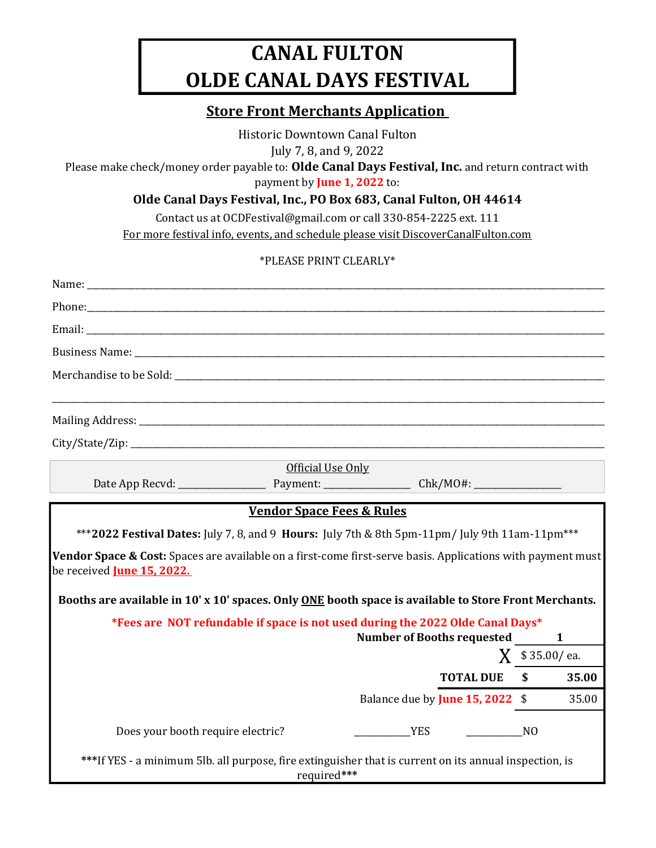## CANAL FULTON OLDE CANAL DAYS FESTIVAL

## Store Front Merchants Application

Historic Downtown Canal Fulton July 7, 8, and 9, 2022

Please make check/money order payable to: Olde Canal Days Festival, Inc. and return contract with payment by **June 1, 2022** to:

Olde Canal Days Festival, Inc., PO Box 683, Canal Fulton, OH 44614

Contact us at OCDFestival@gmail.com or call 330-854-2225 ext. 111

For more festival info, events, and schedule please visit DiscoverCanalFulton.com

## \*PLEASE PRINT CLEARLY\*

| Business Name: No. 2014 19:30 and 20:30 and 20:30 and 20:30 and 20:30 and 20:30 and 20:30 and 20:30 and 20:30                                    |                                      |                                                                                                        |                 |             |
|--------------------------------------------------------------------------------------------------------------------------------------------------|--------------------------------------|--------------------------------------------------------------------------------------------------------|-----------------|-------------|
|                                                                                                                                                  |                                      |                                                                                                        |                 |             |
|                                                                                                                                                  |                                      |                                                                                                        |                 |             |
|                                                                                                                                                  |                                      |                                                                                                        |                 |             |
|                                                                                                                                                  |                                      |                                                                                                        |                 |             |
|                                                                                                                                                  | Official Use Only                    |                                                                                                        |                 |             |
|                                                                                                                                                  | <b>Vendor Space Fees &amp; Rules</b> |                                                                                                        |                 |             |
|                                                                                                                                                  |                                      | *** 2022 Festival Dates: July 7, 8, and 9 Hours: July 7th & 8th 5pm-11pm/ July 9th 11am-11pm***        |                 |             |
| Vendor Space & Cost: Spaces are available on a first-come first-serve basis. Applications with payment must<br>be received <b>June 15, 2022.</b> |                                      | Booths are available in 10' x 10' spaces. Only ONE booth space is available to Store Front Merchants.  |                 |             |
|                                                                                                                                                  |                                      | *Fees are NOT refundable if space is not used during the 2022 Olde Canal Days*                         |                 |             |
|                                                                                                                                                  |                                      | <b>Number of Booths requested</b>                                                                      |                 | $\mathbf 1$ |
|                                                                                                                                                  |                                      |                                                                                                        | $X$ \$35.00/ea. |             |
|                                                                                                                                                  |                                      | TOTAL DUE \$                                                                                           |                 | 35.00       |
|                                                                                                                                                  |                                      | Balance due by <b>June 15, 2022</b> \$                                                                 |                 | 35.00       |
| Does your booth require electric?                                                                                                                |                                      | <b>Example 2</b> YES                                                                                   | N <sub>0</sub>  |             |
|                                                                                                                                                  | required***                          | ***If YES - a minimum 5lb. all purpose, fire extinguisher that is current on its annual inspection, is |                 |             |